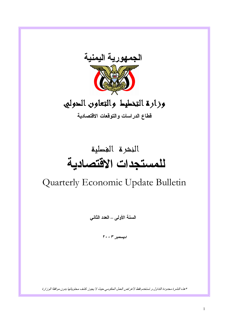

# وزارة التخطيط والتعاون الدوليى

قطاع الدراسات والتوقعات الاقتصادية

# النشرة الغطية للمستجدات الاقتصادية

# Quarterly Economic Update Bulletin

السنة الأولمي – العدد الثاني

ديسمبر ٢٠٠٣

\* هذه النشرة محدودة التداول و تستخدم فقط لأغراض العمل الحكومي حيث لا يجوز كشف محتوياتها بدون موافقة الوزارة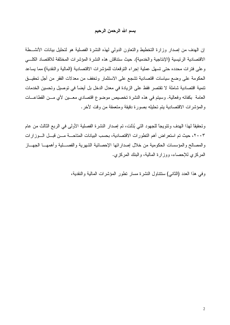## بسم الله الرحمن الرحيم

إن الهدف من إصدار وزارة التخطيط والتعاون الدولي لهذه النشرة الفصلية هو لتحليل بيانات الأنشــطة الاقتصادية الرئيسية (الإنتاجية والخدمية). حيث ستناقش هذه النشرة المؤشرات المختلفة للاقتصاد الكلبي وعلى فترات محدده حتى تسهل عملية إجراء التوقعات للمؤشرات الاقتصادية (المالية والنقدية) مما يساعد الحكومة على وضع سياسات اقتصادية تشجع على الاستثمار وتخفف من معدلات الفقر من أجل تحقيـــق تنمية اقتصادية شاملة لا تقتصر فقط على الزيادة في معدل الدخل بل أيضاً في توصيل وتحسين الخدمات العامة بكفائه وفعالية. وسيتم في هذه النشرة تخصيص موضوع اقتصادي معـــين لأي مـــن القطاعـــات والمؤشرات الاقتصادية يتم تحليله بصورة دقيقة ومتعمقة من وقت لأخر .

وتحقيقًا لهذا الهدف وتتويجًا للجهود التي بُذلت، تم إصدار النشرة الفصلية الأولى في الربع الثالث من عام ٢٠٠٣، حيث تم استعراض أهم التطورات الاقتصادية، بحسب البيانات المتاحـــة مـــن قبـــل الـــوزارات والمصالح والمؤسسات الحكومية من خلال إصداراتها الإحصائية الشهرية والفصـــلية وأهمهـــا الجهـــاز المركز ي للإحصاء، ووز ارة المالية، والبنك المركز ي.

وفي هذا العدد (الثانبي) ستتناول النشرة مسار نطور المؤشرات المالية والنقدية،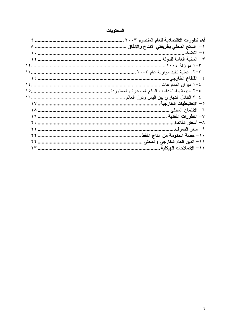#### <u>المحتويات</u>

| ٠١- حصة الحكومة من إنتاج النفط.   |
|-----------------------------------|
| ١١– الدين العام الخارجي والمحلي . |
| ١٢ - الإصلاحات الـهيكلية          |
|                                   |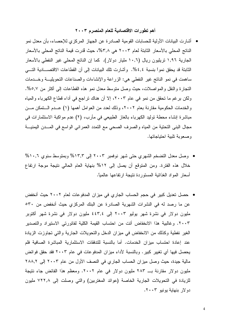## أهم تطورات الاقتصادية للعام المنصرم ٢٠٠٣

- أشارت البيانات الأولية للحسابات القومية الصادرة عن الجهاز المركزي للإحصاء، بأن معدل نمو الناتج المحلي بالأسعار الثابتة لعام ٢٠٠٣ هي ٣,٨%، حيث ڤدرت قيمة الناتج المحلي بالأسعار الجارية ١,٩٦ نريليون ريال (١٠,٦ مليار دولار). كما إن الناتج المحلي غير النفطي بالأسعار الثابتة قد يحقق نمواً بنسبة ٤,٤%. وأشارت تلك البيانات إلى أن القطاعات الاقتصــــادية التـــي ساهمت في نمو الناتج غير النفطي هي: الزراعة والإنشاءات والصناعات التحويليــة وخـــدمات النجارة والنقل والمواصلات، حيث وصل متوسط معدل نمو هذه القطاعات إلى أكثر من 0,7%. ولكن برغم ما نحقق من نمو في عام ٢٠٠٣، إلا أن هناك نراجع في أداء قطاع الكهرباء والمياه والخدمات الحكومية مقارنة بعام ٢٠٠٢، وذلك لعدد من العوامل أهمها (١) عــدم الـــتمكن مـــن مباشرة إنشاء محطة توليد الكهرباء بالغاز الطبيعي في مأرب، (٢) عدم مواكبة الاستثمارات في مجال البني التحتية من المياه والصرف الصحى مع التمدد العمراني الواسع في المــدن اليمنيـــة و صعو بة تلبية احتياجاتها.
- وصل معدل التضخم الشهري حتى شهر نوفمبر ٢٠٠٣ إلى ١٣,٣% وبمتوسط سنوى ١٠,٦% خلال هذه الفترة. ومن المتوقع أن يصل إلى ١٢% بنهاية العام الحالي نتيجة موجة ارتفاع أسعار المواد الغذائية المستوردة نتيجة ارتفاعها عالمياً.
- حصل تعديل كبير في حجم الحساب الجاري في ميزان المدفوعات لعام ٢٠٠٢ حيث أنخفض عن ما رصد له في النشرات الشهرية الصادرة عن البنك المركزي حيث أنخفض من ٥٣٠ ملیون دولار فی نشرة شهر بولیو ۲۰۰۳ إلی ٤٤٣٫٤ ملیون دولار فی نشرة شهر أكتوبر ٢٠٠٣. وغالبية هذا الانخفاض أتت من احتساب القيمة الكلية لفاتورتي الاستيراد والتصدير الغير نفطية وكذلك من الانخفاض في ميزان الدخل والتحويلات الجارية والتي تجاوزت الزيادة عند إعادة احتساب ميزان الخدمات. أما بالنسبة للتدفقات الاستثمارية المباشرة الصافية فلم يحصل فيها أي تغيير كبير . وبالنسبة لأداء ميزان المدفوعات في عام ٢٠٠٣ فقد حقق فوائض مالية جيدة، حيث وصل ميزان الحساب الجاري في النصف الأول من عام ٢٠٠٣ إلى ٢٨٨,٢ مليون دولار مقارنة بـ ٢٨٣ مليون دولار في عام ٢٠٠٢. ومعظم هذا الفائض جاء نتيجة للزيادة في التحويلات الجارية الخاصة (عوائد المغتربين) والتي وصلت إلى ٧٢٢٫٨ مليون دو لار بنهاية بونبو ٢٠٠٣.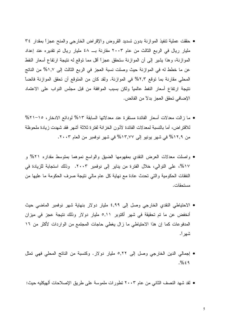- حققت عملية نتفيذ الموازنة بدون تسديد القروض والإقراض الخارجي والمنح عجزاً بمقدار ٣٤ مليار ريال في الربع الثالث من عام ٢٠٠٣ مقارنة بــ ٤٨ مليار ريال تم تقديره عند إعداد الموازنة، وهذا يشير إلى أن الموازنة ستحقق عجزاً أقل مما توقع له نتيجة ارتفاع أسعار النفط عن ما خطط له في الموازنة حيث وصلت نسبة العجز في الربع الثالث إلى ١,٧% من الناتج المحلَّى مقارنة بما نوفع ٢,٣% في الموازنة. ولقد كان من المتوقع أن تحقق الموازنة فائضاً نتيجة ارتفاع أسعار النفط عالمياً ولكن بسبب الموافقة من قبل مجلس النواب على الاعتماد الإضافي تحقق العجز بدلاً من الفائض.
- ما زالت معدلات أسعار الفائدة مستقرة عند معدلاتها السابقة ١٣% لودائع الادخار، ١٥–٢١% للاقتراض، أما بالنسبة لمعدلات الفائدة لأذون الخزانة لفترة ثلاثة أشهر فقد شهدت زيادة ملحوظة من ١٢,٩% في شهر يونيو إلى ١٣,٧٧% في شهر نوفمبر من العام ٢٠٠٣.
- واصلت معدلات العرض النقدي بمفهومها الضبق والواسع نموهما بمنوسط مقداره ٢١% و ١٧%، على النوالي، خلال الفترة من يناير إلى نوفمبر ٢٠٠٣. وذلك استجابة للزيادة في النفقات الحكومية والتي تحدث عادة مع نهاية كل عام مالي نتيجة صرف الحكومة ما عليها من مستحقات.
- الاحتياطي النقدي الخارجي وصل إلى ٤,٩٩ مليار دولار بنهاية شهر نوفمبر الماضي حيث أنخفض عن ما تم تحقيقة في شهر أكتوبر ٥,١١ مليار دولار وذلك نتيجة عجز في ميزان المدفوعات كما إن هذا الاحتياطي ما زال يغطي حاجات المجتمع من الواردات لأكثر من ١٦ شهر أ.
- إجمالي الدين الخارجي وصل إلى ٥,٢٢ مليار دولار. وكنسبة من الناتج المحلي فهي تمثل  $. \%$   $69$
- لقد شهد النصف الثاني من عام ٢٠٠٣ تطور ات ملموسة على طريق الإصلاحات ألهيكليه حيث: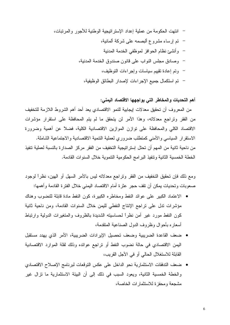أهم التحديات والمخاطر التى يواجهها الاقتصاد اليمنى:

من المعروف أن تحقيق معدلات إيجابية للنمو الاقتصادي يعد أحد أهم الشروط اللازمة للتخفيف من الفقر وتراجع معدلاته، وهذا الأمر لن يتحقق ما لم يتم المحافظة على استقرار مؤشرات الاقتصاد الكلبي والمحافظة على توازن الموازين الاقتصادية الكلية، فضلاً عن أهمية وضرورة الاستقرار السياسي والأمنى كمنطلب ضرورى لعملية النتمية الاقتصادية والاجتماعية الشاملة. من ناحية ثانية من المهم أن تحتل إستر اتيجية التخفيف من الفقر. مركز الصدار ة بالنسبة لعملية تتفيذ الخطة الخمسية الثانية وتنفيذ البر امج الحكومية التتموية خلال السنوات القادمة.

ومع ذلك فإن تحقيق التخفيف من الفقر ونراجع معدلاته ليس بالأمر السهل أو الهين، نظراً لوجود صعوبات وتحديات يمكن أن نقف حجر عثرة أمام الاقتصاد اليمنى خلال الفترة القادمة وأهمها:

- الاعتماد الكبير على عوائد النفط ومخاطره الكبيرة، كون النفط مادة قابلة للنضوب وهناك مؤشرات ندل على نراجع الإنتاج النفطي لليمن خلال السنوات القادمة، ومن ناحية ثانية كون النفط مورد غير أمن نظراً لحساسيته الشديدة بالظروف والمتغيرات الدولية وارتباط أسعاره بأحوال وظروف الدول الصناعية المتقدمة،
- ضعف القاعدة الضريبية وضعف تحصيل الإيرادات الضريبية، الأمر الذي يهدد مستقبل اليمن الاقتصادي في حالة نضوب النفط أو نراجع عوائده وذلك لقلة الموارد الاقتصادية القابلة للاستغلال الحالي أو في الأجل القريب،
- ضعف التدفقات الاستثمارية نحو الداخل على عكس التوقعات لبرنامج الإصلاح الاقتصادي  $\bullet$ والخطة الخمسية الثانية، ويعود السبب في ذلك إلى أن البيئة الاستثمارية ما نزال غير مشجعة ومحفز ة للاستثمار ات الخاصة،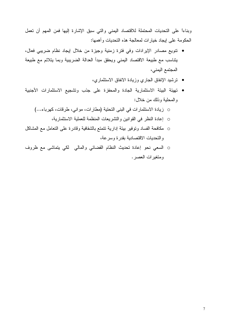وبناءًا على التحديات المحتملة للاقتصاد اليمني والتي سبق الإشارة إليها فمن المهم أن تعمل الحكومة على إيجاد خيارات لمعالجة هذه التحديات وأهمها:

- نتويع مصادر الإيرادات وفي فترة زمنية وجيزة من خلال إيجاد نظام ضريبي فعال، يتناسب مع طبيعة الاقتصاد اليمنى ويحقق مبدأ العدالة الضريبية وبما يتلائم مع طبيعة المجتمع اليمني،
	- ترشيد الإنفاق الجاري وزيادة الانفاق الاستثماري،
- نهيئة البيئة الاستثمارية الجادة والمحفزة على جذب وتشجيع الاستثمارات الأجنبية والمحلية وذلك من خلال:
	- 0 زيادة الاستثمارات في البني التحتية (مطارات، مواني، طرفات، كهرباء...) ○ إعادة النظر في القوانين والنشريعات المنظمة للعملية الاستثمارية،
- 0 مكافحة الفساد ونوفير بيئة إدارية نتمتع بالشفافية وقادرة على التعامل مع المشاكل والتحديات الاقتصادية بقدرة وسرعة،
- 0 السعي نحو إعادة تحديث النظام القضائي والمالي لكي يتماشى مع ظروف ومتغيرات العصر .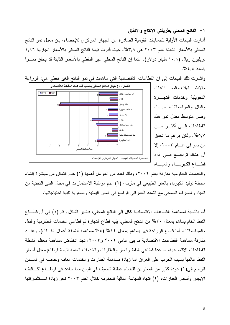١ – الناتج المحلي بطريقتي الإنتاج و الإنفاق أشارت البيانات الأولية للحسابات القومية الصادرة عن الجهاز المركزي للإحصاء، بأن معدل نمو الناتج المحلِّي بالأسعار الثابتة لعام ٢٠٠٣ هي ٣,٨%، حيث قُدرت قيمة الناتج المحلِّي بالأسعار الجارية ١,٩٦ تريليون ريال (١٠,٦ مليار دولار). كما إن الناتج المحلي غير النفطي بالأسعار الثابتة قد يحقق نمــوا بنسبة ٤,٤%.



وأشارت نلك البيانات إلى أن القطاعات الاقتصادية التي ساهمت في نمو الناتج الغير نفطي هي: الزراعة

والخدمات الحكومية مقارنة بعام ٢٠٠٢، وذلك لعدد من العوامل أهمها (١) عدم النمكن من مباشرة إنشاء محطة توليد الكهرباء بالغاز الطبيعي في مأرب، (٢) عدم مواكبة الاستثمارات في مجال البنى التحتية من المياه والصرف الصحى مع التمدد العمراني الواسع في المدن اليمنية وصعوبة تلبية احتياجاتها.

أما بالنسبة لمساهمة القطاعات الاقتصادية ككل إلى الناتج المحلي، فيشير الشكل رقم (١) إلى أن قطـــاع النفط الخام يساهم بمعدل ٣٠% من الناتج المحلي، يليه قطاع النجارة ثم قطاعي الخدمات الحكومية والنقل والمواصلات. أما قطاع الزراعة فهو يساهم بمعدل ١٤% (٥٤% مساهمة أنشطة أعمال القــات). وعنــد مقارنة مساهمة القطاعات الاقتصادية ما بين عامي ٢٠٠٢ و ٢٠٠٣، نجد انخفاض مساهمة معظم أنشطة القطاعات الاقتصادية، ما عدا قطاعي النفط والغاز والعقارات والخدمات العامة نتيجة ارتفاع معدل أسعار النفط عالمياً بسبب الحرب على العراق أما زيادة مساهمة العقارات والخدمات العامة وخاصنة في المسدن فترجع إلى(١) عودة كثير من المغتربين لقضاء عطلة الصيف في اليمن مما ساعد في ارتفـــاع تكـــاليف الإيجار وأسعار العقارات، (٢) اتجاه السياسة المالية للحكومة خلال العام ٢٠٠٣ نحو زيادة استثماراتها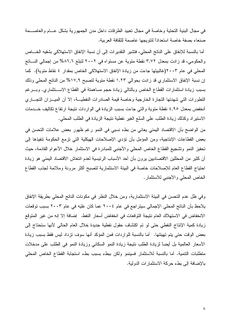في مجال البنية التحتية وخاصة في مجال تعبيد الطرقات داخل مدن الجمهورية بشكل عـــام والعاصـــمة صنعاء بصفة خاصة استعداداً لتتويجها عاصمة للثقافة العربية.

أما بالنسبة للإنفاق على الناتج المحلي، فتشير التقديرات إلى أن نسبة الإنفاق الاستهلاكي بشقيه الخـــاص والحكومي، قد زادت بمعدل ٣,٧٢ نقطة مئوية عن مستواه في ٢٠٠٢ لتبلغ ٨٦,٦% من إجمالي النساتج المحلِّي في عام ٢٠٠٣(غالبيتها جاءت من زيادة الإنفاق الاستهلاكي الخاص بمقدار ٤ نقاط مئوية). كما إن نسبة الإنفاق الاستثماري قد زادت بحوالي ١,٢٣ نقطة مئوية لتصبح ١٧,٩% من الناتج المحلي وذلك بسبب زيادة استثمارات القطاع الخاص وبالتالي زيادة حجم مساهمنة في القطاع الاســـنثماري. وبـــرغم النطورات التي شهدتها النجارة الخارجية وخاصة قيمة الصادرات النفطيـــة، إلا أن الميـــزان النجــــاري أنخفض بمعدل ٤,٩٥ نقطة مئوية والتي جاءت بسبب الزيادة في الواردات نتيجة ارتفاع تكاليف خــدمات الاستيراد وكذلك زيادة الطلب على السلع الغير نفطية نتيجة الزيادة في الطلب المحلي.

من الواضح بأن الاقتصاد اليمني يعاني من بطء نسبي في النمو رغم ظهور بعض علامات التحسن في بعض القطاعات الإنتاجية، ومن المؤمل بأن نؤدي الإصلاحات الهيكلية التي نزمع الحكومة نتفيذها إلى تحفيز النمو وتشجيع القطاع الخاص المحلي والأجنبي للمبادرة في الاستثمار خلال الأعوام القادمة، حيث أن كثير من المحللين الاقتصاديين يرون بأن أحد الأسباب الرئيسية لعدم انتعاش الاقتصاد اليمني هو زيادة احتياج القطاع العام للإصلاحات خاصة في البيئة الاستثمارية لتصبح أكثر مرونة وملائمة لجذب القطاع الخاص المحلي والأجنبي للاستثمار .

وفي ظل عدم التحسن في البيئة الاستثمارية، ومن خلال النظر في مكونات الناتج المحلي بطريقة الإنفاق يلاحظ بأن الناتج المحلي الإجمالي سيتر اجع في عام ٢٠٠٤ عما كان عليه في عام ٢٠٠٣ بسبب توقعات الانخفاض في الاستهلاك العام نتيجة التوقعات في انخفاض أسعار النفط. إضافة إلا إنه من غير المتوقع زيادة كمية الإنتاج النفطي حتى لو تم اكتشاف حقول نفطية جديدة خلال العام الحالي لأنها ستحتاج إلى بعض الوقت حتى يتم تهيئتها. أما بالنسبة للواردات فمن المؤكد أنها سوف تزداد ليس فقط بسبب زيادة الأسعار العالمية بل أيضاً لزيادة الطلب نتيجة زيادة النمو السكاني وزيادة النمو في الطلب على مدخلات منطلبات النتمية. أما بالنسبة للاستثمار فسينمو ولكن ببطء بسبب بطء استجابة القطاع الخاص المحلي بالإضافة إلى بطء حركة الاستثمارات الدولية.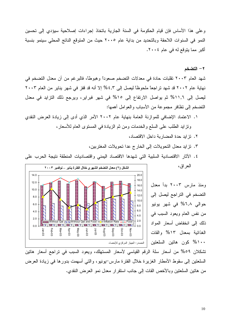وعلى هذا الأساس فإن قيام الحكومة في السنة الجارية باتخاذ إجراءات إصلاحية سيؤدي إلى تحسين النمو في السنوات اللاحقة وبالتحديد من بداية عام ٢٠٠٥ حيث من المتوقع الناتج المحلي سينمو بنسبة أكبر مما يتوقع له في عام ٢٠٠٤.

٢ – التضخم

شهد العام ٢٠٠٣ تقلبات حادة في معدلات التضخم صعوداً وهبوطاً، فالبرغم من أن معدل التضخم في نهاية عام ٢٠٠٢ قد شهد تراجعاً ملحوظاً ليصل إلى ٤,٣% إلا أنه قد قفز في شهر يناير من العام ٢٠٠٣ ليصل إلى ١١,٦% ثم يواصل الارتفاع إلى ١٥% في شهر فبراير، ويرجع ذلك النزايد في معدل النضخم إلىي نظافر مجموعة من الأسباب والعوامل أهمها:

- ١. الاعتماد الإضافي للموازنة العامة بنهاية عام ٢٠٠٢ الأمر الذي أدى إلىي زيادة العرض النقدي ونزايد الطلب على السلع والخدمات ومن ثم الزيادة في المسنوى العام للأسعار،
	- ٢. تزايد حدة المضاربة داخل الاقتصاد،

ومنذ مارس ٢٠٠٣ بدأ معدل

التضخم في التراجع ليصل إلى

حوالي ٦,٨% في شهر يونيو

من نفس العام ويعود السبب في

ذلك إلى انخفاض أسعار المواد

الغذائية بمعدل ١٣% والقات

۱۰۰% كون هاتين السلعتين

- ٣. تزايد معدل التحويلات إلى الخارج عدا تحويلات المغتربين،
- ٤. الأثار الاقتصادية السلبية التي شهدها الاقتصاد اليمني واقتصاديات المنطقة نتيجة الحرب على العراق،



تشكلان ٥٩% من أسعار سلة الرقم القياسي لأسعار المستهلك، ويعود السبب في تراجع أسعار هاتين السلعتين إلى سقوط الأمطار الغزيرة خلال الفترة مارس-يونيو، والتبي أسهمت بدورها في زيادة العرض من هاتين السلعتين وبالأخص القات إلى جانب استقرار معدل نمو العرض النقدى.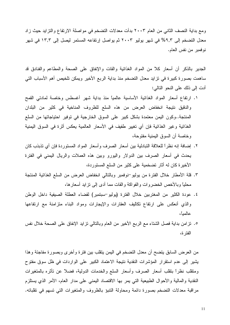ومع بداية النصف الثاني من العام ٢٠٠٣ بدأت معدلات التضخم في مواصلة الارتفاع والنزايد حيث زاد معدل التضخم إلى ٩,٣% في شهر يوليو ٢٠٠٣ ثم يواصل إرتفاعه المستمر ليصل إلى ١٣,٣ في شهر نوفمبر من نفس العام.

الجدير بالذكر أن أسعار كلاً من المواد الخذائية والقات والإنفاق على الصحة والمطاعم والفنادق قد ساهمت بصورة كبيرة في نزايد معدل التضخم منذ بداية الربع الأخير ويمكن تلخيص أهم الأسباب التي أدت إلى ذلك على النحو التالي:

- ١. ارتفاع أسعار المواد الغذائية الأساسية عالمياً منذ بداية شهر أغسطس وخاصة لمادتي القمح والدقيق نتيجة انخفاض العرض من هذه السلع للظروف المناخية في كثير من البلدان المنتجة..وكون اليمن معتمدة بشكل كبير على السوق الخارجية في توفير احتياجاتها من السلع الغذائية وغير الغذائية فإن أي نغيير طفيف في الأسعار العالمية يعكس أثرة في السوق اليمنية وخاصة أن السوق اليمنية مفتوحة،
- ٢. إضافة إنه نظراً للعلاقة التبادلية بين أسعار الصرف وأسعار المواد المستوردة فإن أي نذبذب كان يحدث في أسعار الصرف بين الدولار واليورو وبين هذه العملات والريال اليمنى في الفترة الأخير ة كان له أثار تضخمية على كثير من السلع المستوردة،
- ٣. قلة الأمطار خلال الفترة من بوليو–نوفمبر وبالنالي انخفاض العرض من السلع الغذائية المنتجة محلياً وبالأخص الخضروات والفواكة والقات مما أدى إلى نزَّايد أسعارها،
- ٤. عودة الكثير من المغتربين خلال الفترة (يوليو–سبتمبر) لقضاء العطلة الصبغية داخل الوطن والذى أنعكس على ارتفاع نكاليف العقارات والإيجارات ومواد البناء متزامنة مع ارتفاعها عالمبأ،
- ٥. نزلمن بداية فصل الشتاء مع الربع الأخير من العام وبالتالي نزايد الإنفاق على الصحة خلال نفس الفتر ة،

من العرض السابق يتضح أن معدل التضخم في اليمن ينقلب بين فترة وأخرى وبصورة مفاجئة وهذا يشير إلى عدم استقرار المؤشرات النقدية نتيجة الاعتماد الكبير على الواردات في ظل سوق مفتوح ومنقلب نظراً بنقلب أسعار الصرف وأسعار السلع والخدمات الدولية، فضلاً عن نأثره بالمنغيرات النقدية والمالية والأحوال الطبيعية التي يمر بها الاقتصاد اليمني على مدار العام، الأمر الذي يستلزم مراقبة معدلات التضخم بصورة دائمة ومحاولة التتبؤ بالظروف والمتغيرات التي تسهم في تقلباته.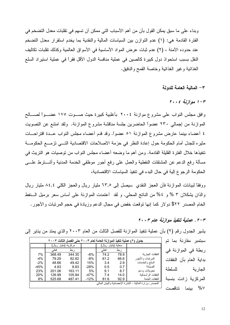وبناء على ما سبق يمكن القول بأن من أهم الأسباب التي ممكن أن تسهم في تقلبات معدل التضخم في الفترة القادمة هي: (١) عدم النَّوازن بين السياسات المالية والنقدية بما يخدم استقرار معدل النَّضـخم عند حدوده الأمنة ، (٢) عدم ثبات عرض المواد الأساسية في الأسواق العالمية وكذلك تقلبات تكاليف النقل بسبب استحواذ دول كبيرة كالصين في عملية منافسة الدول الأقل فقراً في عملية استيراد السلع الغذائية وغير الغذائية وخاصة القمح والدقيق.

٣ – المالية العامة للدولة

 $r \cdot t$  موازنة ٢٠٠٤

وافق مجلس النواب على مشروع موازنة ٢٠٠٤ بأغلبية كبيرة حيث صـــوت ١٧٥ عضـــوا لصـــالح الموازنة من إجمالي ٢٣٠ عضواً الحاضرين جلسة مناقشة مشروع الموازنة. ولقد امتنع عن التصويت ٤ أعضاء بينما عارض مشروع الموازنة ٥١ عضوا. وقد قدم أعضاء مجلس النواب عــدة اقتراحـــات مثيره للجدل أمام الحكومة حول إعادة النظر في حزمة الاصلاحات الاقتصادية التسي نزمسع الحكومـــة نتفيذها خلال الفترة القليلة القادمة. ومن أهم ما وضعه أعضاء مجلس النواب من نوصيات هو النريث في مسألة رفع الدعم عن المشتقات النفطية والعمل على رفع أجور موظفي الخدمة المدنية وأشـــنرط علــــي الحكومة الرجوع إلية في حال البدء في نتفيذ السياسات الاقتصادية،

ووفقًا لبيانات الموازنة فأن العجز النقدي سيصل إلى ٦٣٫٥ مليار ريال والعجز الكلي ٨٤٫٤ مليار ريال والذان يشكلان ٣ % و ٤% من الناتج المحلي. و لقد أعتمدت الموازنة على أساس سعر برميل الـــنفط الخام المصدر ٢٢٢ دو لار كما إنها نوقعت خفض في مجال الدعم وزيادة في حجم المرتبات والأجور .

۲-۲. عملية تنفيذ موازنة عام ۲۰۰۳.

للسلطة

سبتمبر مقارنة بما تم

ربطة في الموازنة في

بداية العام بأن النفقات

المركزية زادت بنسبة

%٧ بينما نتاقصت

| جدول (٢) عملية تنفيذ الموازنة العامة لعام ٢٠٠٣ حتى الفصل الثالث ٢٠٠٣ |              |          |        |                       |      |                     |  |  |
|----------------------------------------------------------------------|--------------|----------|--------|-----------------------|------|---------------------|--|--|
|                                                                      | (مليار ريال) | مر كز ية |        | محلية<br>(مليار ريال) |      |                     |  |  |
|                                                                      | فعلى         | ربط      |        | فعلى                  | ربط  |                     |  |  |
| 7%                                                                   | 368.49       | 344.30   | $-6%$  | 74.2                  | 78.9 | النفقات الجار بة    |  |  |
| $-4\%$                                                               | 79.29        | 82.82    | -8%    | 61.2                  | 66.6 | المرنبات والأجور    |  |  |
| $-2\%$                                                               | 48.66        | 49.42    | 15%    | 3.4                   | 2.9  | السلع و الخدمات     |  |  |
| -45%                                                                 | 4.83         | 8.83     | $-28%$ | 0.5                   | 0.7  | الصدانة             |  |  |
| 23%                                                                  | 201.06       | 163.11   | 5%     | 9.1                   | 8.7  | تحويلات ودعم        |  |  |
| 20%                                                                  | 126.99       | 105.84   | $-47%$ | 7.4                   | 14.0 | النفقات الر أسمالبة |  |  |
| 8%                                                                   | 525.68       | 487.41   | $-12%$ | 81.6                  | 92.9 | النفقات العامة      |  |  |
| المصدر : وز ار ة المالية ــ النشر ة الإحصائية و البيان المالي        |              |          |        |                       |      |                     |  |  |

يشير الجدول رقم (٢) بأن عملية نتفيذ الموازنة للفصل الثالث من العام ٢٠٠٣ والذي يمتد من يناير إلى

الجار ية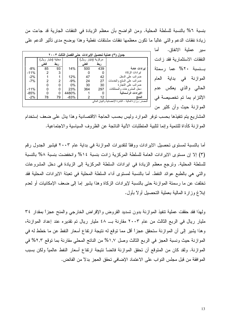بنسبة ٦% بالنسبة للسلطة المحلية. ومن الواضح بأن معظم الزيادة في النفقات الجارية قد جاءت من زيادة نفقات الدعم والتبي غالباً ما نكون معظمها نفقات مشتقات نفطية وهذا يوضح مدى تأثير الدعم علمي

> أما سير عملية الانفاق. النفقات الاستثمار بة فقد ز ادت بسنسبة ٢٠% عما رسمتة الموازنة في بداية العام الحالبي والذي يعكس عدم الإلتزام بما تم تخصيصة في الموازنة حيث وأن كثير من

| ٣) عملية تحصيل الإيرادات  حتى الفصل الثالث ٢٠٠٣<br>جدول      |                |       |        |                     |     |                             |  |  |  |
|--------------------------------------------------------------|----------------|-------|--------|---------------------|-----|-----------------------------|--|--|--|
|                                                              |                | محلبة |        | مركزية (مليار ريال) |     |                             |  |  |  |
|                                                              | فعلى           | ربط   |        | فعلى                | ربط |                             |  |  |  |
| $-8%$                                                        | 85             | 93    | 14%    | 500                 | 439 | ابر ادات عامة               |  |  |  |
| $-11%$                                                       | $\overline{2}$ | 3     |        | 0                   | 0   | ابر ادات الزكاة             |  |  |  |
| $-2%$                                                        |                | 1     | 12%    | 47                  | 42  | ضر ائب على الدخل            |  |  |  |
| $-7%$                                                        | 2              | 2     | $-9%$  | 24                  | 27  | ضر ائب على السلع و الخدمات  |  |  |  |
|                                                              | 0              | O     | 0%     | 30                  | 30  | ضر ائب على التجار ة         |  |  |  |
| $-11%$                                                       | 0              | 0     | 23%    | 364                 | 297 | دخل المشر و عات و الممتلکات |  |  |  |
| $-85%$                                                       | 0              | 0     | 4480%  |                     | 0   | الايرادات الرأسمالية        |  |  |  |
| $-2%$                                                        | 78             | 79    | $-83%$ | 2                   | 12  | المنح                       |  |  |  |
| المصدر : وز ار ة المالية – النشر ة الإحصائية و البيان المالي |                |       |        |                     |     |                             |  |  |  |
|                                                              |                |       |        |                     |     |                             |  |  |  |

المشاريع بتم نتفيذها بحسب نوفر الموارد وليس بحسب الحاجة الاقتصادية وهذا يدل على ضعف إستخدام الموازنة كأداة للتتمية وإنما لتلبية المتطلبات الأنية الناتجة عن الظروف السياسية والاجتماعية.

أما بالنسبة لمستوى تحصيل الايرادات ووفقًا لتقديرات الموازنة في بداية عام ٢٠٠٣ فيشير الجدول رقم (٣) إلا إن مستوى الايرادات العامة للسلطة المركزية زادت بنسبة ١٤% وانخفضت بنسبة ٨% بالنسبة للسلطة المحلية. وترجع معظم الزيادة في ايرادات السلطة المركزية إلى الزيادة في دخل المشروعات والنَّبي هي بالطبع عوائد النفط. أما بالنسبة لمستوى أداء السلطة المحلية في نعبئة الايرادات المحلية فقد تخلَّفت عن ما رسمتة الموازنة حتى بالنسبة لإيرادات الزكاة وهذا يشير إما إلى ضعف الإمكانيات أو لعدم إبلاغ وزارة المالية بعملية التحصيل أولاً بأول.

ولهذا فقد حققت عملية نتفيذ الموازنة بدون نسديد القروض والإقراض الخارجي والمنح عجزاً بمقدار ٣٤ مليار ريال في الربع الثالث من عام ٢٠٠٣ مقارنة بـــ ٤٨ مليار ريال تم تقدير ه عند إعداد الموازنة، وهذا يشير إلى أن الموازنة ستحقق عجزاً أقل مما توقع له نتيجة ارتفاع أسعار النفط عن ما خطط له في الموازنة حيث ونسبة العجز في الربع الثالث وصل ١,٧% من الناتج المحلي مقارنة بما توقع ٢,٣% في الموازنة. ولقد كان من المتوقع أن تحقق الموازنة فائضاً نتيجة ارتفاع أسعار النفط عالمياً ولكن بسبب الموافقة من قبل مجلس النواب على الاعتماد الإضافي نحقق العجز بدلاً من الفائض.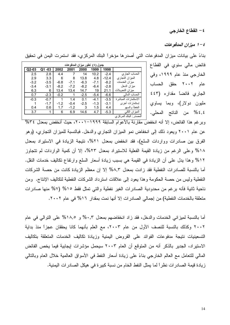٤ – القطاع الخارجي

٤ – ١ ميزان المدفوعات

فائض مالي سنوي في القطاع

الخارجي منذ عام ١٩٩٩، وفي

عام ٢٠٠٢ حقق الحساب

الجارى فائضاً مقداره (٤٤٣

مليون دولار)، وبما يساوي

٤,٤% من الناتج المحلي.

| جدول ( ٤ ) تطور ميزان المدفوعات |           |        |        |        |        |         |                        |  |
|---------------------------------|-----------|--------|--------|--------|--------|---------|------------------------|--|
| Q2-03                           | -03<br>Q1 | 2002   | 2001   | 2000   | 1999   | 1998    |                        |  |
| 2.5                             | 2.8       | 4.4    | 7      | 14     | 10.2   | $-2.4$  | الحساب الجارى          |  |
| 2.9                             | 3.3       | 6      | 8      | 13.8   | 4.8    | $-12.4$ | الميزان التجاري        |  |
| $-3.2$                          | $-3.5$    | $-6.8$ | $-7.1$ | $-6.3$ | $-7.1$ | $-8.2$  | ميزان الخدمات          |  |
| $-3.4$                          | $-3.1$    | $-8.2$ | $-7.2$ | $-8.2$ | $-6.4$ | $-2.8$  | ميز ان الدخل           |  |
| 6.3                             | 6         | 13.4   | 13.4   | 14.7   | 19     | 21.1    | ميزان التحويلات        |  |
| 0.7                             | $-2.3$    | $-0.2$ | 1      | $-2.5$ | $-5.4$ | $-6.6$  | الحساب المالى          |  |
| $-0.3$                          | $-0.7$    | 1      | 1.4    | 0.1    | $-4.1$ | $-3.5$  | الاستثمار ات المباشر ة |  |
|                                 | $-1.7$    | $-1.2$ | $-0.4$ | $-2.5$ | $-1.3$ | $-3.1$  | اِستثمار ات أخر ی      |  |
| 0.4                             | 0.6       | 1.7    | $-1.2$ | 3      | 1.5    | 4.4     | الخطأ والسهو           |  |
| 3.7                             | 1         | 6      | 6.9    | 14.6   | 4.7    | $-5.3$  | الميز ان الكلي         |  |
| المصدر : البنك المركز <i>ي</i>  |           |        |        |        |        |         |                        |  |

بناءً على بيانات ميزان المدفوعات التي أصدرها مؤخراً البنك المركزي، فقد استمرت اليمن في تحقيق

وبرغم هذا الفائض، إلا أنه انخفضٌ مقارنة بالأعوام السابقة ١٩٩٩–٢٠٠١، حيث أنخفض بمعدل ٣٤% عن عام ٢٠٠١ ويعود ذلك إلى انخفاض نمو الميزان النجاري والدخل. فبالنسبة للميزان النجاري، (وهو الفرق بين صادرات وواردات السلع)، فقد انخفض بمعدل ٢١%، نتيجة الزيادة في الاستيراد بمعدل ١٨% وعلى الرغم من زيادة القيمة الفعلية للاستيراد بمعدل ٢٣%، إلا أن كمية الواردات لم تتجاوز ١٢% وهذا يدل عليي أن الزيادة في القيمة هي بسبب زيادة أسعار السلع وارتفاع نكاليف خدمات النقل. أما بالنسبة للصادرات النفطية فقد زادت بمعدل ٨,٣% إلا إن معظم الزيادة كانت من حصـة الشركات النفطية وليس من حصة الحكومة وهذا يعود إلى علاقات استرداد الشركات النفطية لتكاليف الإنتاج. ومن ناحية ثانية فأنه برغم من محدودية الصادرات الغير نفطية والتي تمثل فقط ١٥% (٧% منها صادرات متعلقة بالخدمات النفطية) من إجمالي الصادر ات إلا أنها نمت بمقدار ١٦% في عام ٢٠٠٢.

أما بالنسبة لمبزاني الخدمات والدخل، فقد زاد انخفاضهم بمعدل ٠,٣% و ١٨,٥% على التوالي في عام ٢٠٠٢ وكذلك بالنسبة للنصف الأول من عام ٢٠٠٣، مع العلم بأنهما كانا يحققان عجزاً منذ بداية التسعينيات نتيجة مدفوعات الفوائد على القروض اليمنية وزيادة تكاليف الخدمات المتعلقة بتكاليف الاستيراد، الجدير بالذكر أنه من المتوقع أن العام ٢٠٠٣ سيحمل مؤشرات إيجابية فيما يخص الفائض المالي للنعامل مع العالم الخارجي بناءً على زيادة أسعار النفط في الأسواق العالمية خلال العام وبالنالي زيادة قيمة الصادرات نظراً لما يمثل النفط الخام من نسبة كبير ة في هيكل الصادرات اليمنية.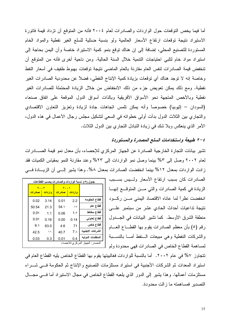أما فيما يخص النوقعات حول الواردات والصادرات لعام ٢٠٠٤ فأنه من المتوقع أن نزداد قيمة فاتورة الاستيراد نتيجة توقعات ارتفاع الأسعار العالمية ولو بنسبة ضئلية للسلع الغير نفطية والمواد الخام المستوردة للتصنيع المحلي، إضافة إلى إن هناك توقع بنمو كمية الاستيراد خاصة وأن اليمن بحاجة إلى استيراد مواد خام لنلبي احتياجات النتمية خلال السنة الحالية. ومن ناحية أخرى فأنه من المتوقع أن تنخفض قيمة الصادرات لنفس العام مقارنة بالعام الماضيي نتيجة توقعات بهبوط طفيف في أسعار النفط وخاصة إنه لا توجد هناك أي توقعات بزيادة كمية الإنتاج النفطي، فضلاً عن محدودية الصادرات الغير نفطية. ومع ذلك يمكن تعويض جزء من ذلك الانخفاض من خلال الزيادة المحتملة للصادرات الغير نفطية وبالأخص المتجهة نحو الأسواق الأفريقية وبالذات أسواق الدول الموقعة على اتفاق صنعاء (السودان – إثيوبيا) خصوصاً وأنه يمكن نلمس اتجاهات جادة لزيادة وتعزيز التعاون الاقتصادي والنجاري بين الثلاث الدول بدأت أولى خطواته في السعي لنشكيل مجلس رجال الأعمال في هذه الدول، الأمر الذي ينعكس وبلا شك في زيادة النبادل النجاري بين الدول الثلاث.

### ٤–٢ طبيعة واستخدامات السلع المصدرة والمستوردة

تشير بيانات النجارة الخارجية الصادرة عن الجهاز المركزي للإحصاء، بأن معدل نمو قيمة الصــــادرات لعام ٢٠٠٢ وصل إلى ٥٣% بينما وصل نمو الواردات إلى ٢٣% وعند مقارنة النمو بمقياس الكميات فقد زادت الواردات بمعدل ١٢% بينما انخفضت الصادرات بمعدل ٨%. وهذا يشير إلـــي أن الزيـــادة فـــي

| جدول (٥) نسبة الواردات والصادرات بحسب القطاعات |                 |                      |            |                      |  |  |  |
|------------------------------------------------|-----------------|----------------------|------------|----------------------|--|--|--|
|                                                |                 | <b>Y 1</b>           | <b>Y Y</b> |                      |  |  |  |
|                                                | <u>و ار دات</u> | <mark>صادر ات</mark> | واردات     | <mark>صادر ات</mark> |  |  |  |
| قطاع الحكومه                                   | 2.2             | 0.01                 | 3.14       | 0.02                 |  |  |  |
| قطاع عام                                       | $\gamma$        | 54.٦                 | 21.3       | 50.54                |  |  |  |
| قطاع مختلط                                     | 1.5             | 0.06                 | 1.1        | 0.09                 |  |  |  |
| قطاع تعاوني                                    | 0.14            | 0.00                 | 0.16       | 0.09                 |  |  |  |
| قطاع خاص                                       | 71              | 4.6                  | 63.0       | 6.9                  |  |  |  |
| الشركات الاجنبيه                               | 7.1             | 40.7                 | ۱۱         | 42.5                 |  |  |  |
| المنظمات الدوليه                               | 0.4             | 0.01                 | 0.3        | 0.03                 |  |  |  |
| المصدر : الجهاز المركزي للاحصاء                |                 |                      |            |                      |  |  |  |

الصادرات كان بسبب ارتفاع الأسعار ولسيس بسسبب الزيادة في كمية الصادرات والتي مـــن المتوقــــع إنـهــــا انخفضت نظراً لما عاناه الاقتصاد اليمني مـــن ركـــود نتيجة تداعيات أحداث الحادي عشر من سبتمبر علــــى منطقة الشرق الأوسط. كما تشير البيانات في الجـــدول رفَّع (٥) بأن معظم الصادرات يقوم بها القطـــاع العـــام والشركات النفطية وهي مبيعات السنفط أمسا بالنسسبة لمساهمة القطاع الخاص في الصادرات فهي محدودة ولم

تتجاوز ٧% في عام ٢٠٠٢. أما بالنسبة للواردات فغالبيتها يقوم بها القطاع الخاص يليه القطاع العام في استيراد المعدات ثم الشركات الأجنبية في استيراد مستلزمات التصنيع والإنتاج ثم الحكومة فسي شـــراء مستلزمات أعمالها. وهذا يشير إلى الدور الذي يلعبه القطاع الخاص في مجال الاستيراد أما فـــي مجـــال التصدير فمساهمته ما زالت محدودة.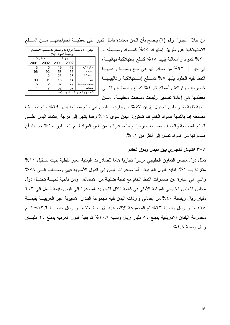من خلال الجدول رقم (٦) يتضح بأن اليمن معتمدة بشكل كبير على تغطيـــة إحتياجاتهــــا مــــن الســــلـع

| جدول (٦) نسبة الواردات والصادرات بحسب الاستخدام<br>وطبيعة المواد (%) |         |      |                 |                 |  |  |  |  |
|----------------------------------------------------------------------|---------|------|-----------------|-----------------|--|--|--|--|
|                                                                      | صادر ات |      | و ار دات        |                 |  |  |  |  |
| 2001                                                                 | 2002    | 2001 | 2002            |                 |  |  |  |  |
| 3                                                                    | 5       | 19   | 18              | استهلاكبة       |  |  |  |  |
| 96                                                                   | 92      | 58   | 56              | و سبطة          |  |  |  |  |
|                                                                      | 2       | 23   | 26              | ر اسمالية       |  |  |  |  |
| 90                                                                   | 91      | 15   | 14              | خام             |  |  |  |  |
| 5                                                                    | 2       | 32   | 29              |                 |  |  |  |  |
|                                                                      |         | 52   | 57              |                 |  |  |  |  |
|                                                                      |         |      | المركزي للاحصاء | المصدر : الجهاز |  |  |  |  |

الاستهلاكية عن طريق إستيراد ٥٥% كمسواد وسسيطة و ٢٦% كمو اد ر أسمالية بليها ١٨% كسلع اِستهلاكية نهائيـــة، في حين اِن ٩٢% من صادراتها هي سلع وسيطة وأهمهـــا النفط بليه الجلود بلبها ٥% كســـلع إســـتهلاكية وغالببيتهـــا خضروات وفواكة وأسماك ثم ٢% كسلع رأسماليه والنسي معظمها هي إعادة تصدير وليست منتجات محليـــة. مـــن

ناحية ثانية يشير نفس الجدول إلا أن ٥٧% من واردات اليمن هي سلع مصنعة يليها ٢٩% سلع نصــف مصنعة إما بالنسبة للمواد الخام فلم تستورد اليمن سوى ١٤% وهذا يشير إلى درجة إعتماد اليمن علـــي السلع المصنعة والنصف مصنعة خارجياً بينما صادراتها من نفس المواد لــم نتجـــاوز ١٠% حيــث أن صادرتها من المواد تصل إلى أكثر من ٩١%.

## ٤–٣ التبادل التجاري بين اليمن ودول العالم

تمثِّل دول مجلس التعاون الخليجي مركز! تجارياً هاماً للصادرات اليمنية الغير نفطية حيث تستقبل ١١% مقارنة بـ ٥١٪ لبقية الدول العربية. أما صادرات اليمن إلى الدول الأسيوية فهي وصـــلت إلـــي ٧٨% والتي هي عبارة عن صادرات النفط الخام مع نسبة ضئيلة من الأسماك. ومن ناحية ثانيــــة تحتـــل دول مجلس النعاون الخليجي المرتبة الأولى في قائمة الكتل النجارية المصدرة إلى اليمن بقيمة تصل إلى ٢٠٣ مليار ريال وبنسبة ٤٠% من إجمالي واردات اليمن نليه مجموعة البلدان الأسيوية غير العربيـــة بقيمـــة ١١٨ مليار ريال وبنسبة ٢٣% ثم المجموعة الاقتصادية الأوربية ٧٠ مليار ريال ونســـبة ١٣,٦% ثـــم مجموعة البلدان الأمريكية بمبلغ ٥٤ مليار ريال ونسبة ١٠,٦% ثم بقية الدول العربية بمبلغ ٢٤ مليـــار ربال ونسبة ٤٫٨ . % .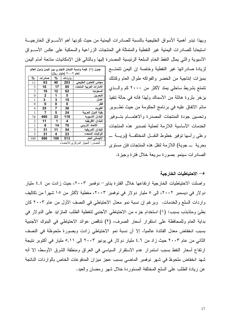وبهذا تبدو أهمية الأسواق الخليجية بالنسبة للصادرات اليمنية من حيث كونها أهم الأســـواق الخارجيــــة استيعابًا للصادرات اليمنية غير النفطية والمتمثلة في المنتجات الزراعية والسمكية على عكس الأسـواق الأسيوية والتبى يمثل النفط الخام السلعة الرئيسية المصدرة إليها وبالنالي فإن الإمكانيات متاحة أمام اليمن

| جدول (٧)  قيمة ونسبة التبادل التجاري بين اليمن ودول العالم<br>لعام ٢٠٠٢ (مليار ريال) |              |     |        |                          |  |  |  |
|--------------------------------------------------------------------------------------|--------------|-----|--------|--------------------------|--|--|--|
| %                                                                                    | صادرات       | %   | واردات |                          |  |  |  |
| 11                                                                                   | 63           | 40  | 203    | مجلس التعاون الخليحى     |  |  |  |
| 3                                                                                    | 16           | 17  | 85     | الامارات العربيه المتحده |  |  |  |
| 3                                                                                    | 16           | 12  | 62     | السعوديه                 |  |  |  |
| 0                                                                                    | $\mathbf{2}$ | 1   | 5      | البحرين                  |  |  |  |
| 1                                                                                    | 3            | 3   | 15     | عمان                     |  |  |  |
| $\theta$                                                                             | 0            | 0   | 0      | قطر                      |  |  |  |
| 4                                                                                    | 25           | 7   | 36     | الكو يت                  |  |  |  |
| 1                                                                                    | 7            | 5   | 24     | بقبة الدول العربية       |  |  |  |
| 78                                                                                   | 460          | 23  | 118    | البلدان الاسبويه         |  |  |  |
| 2                                                                                    | 11           | 1   | 4      | البلدان الافريقيه        |  |  |  |
| 1                                                                                    | 6            | 14  | 70     | الاتحاد الاروبي          |  |  |  |
| 5                                                                                    | 31           | 11  | 54     | البلدان الامريكيه        |  |  |  |
| 5                                                                                    | 31           | 4   | 23     | الو لايات المتحده        |  |  |  |
| 100                                                                                  | 586          | 100 | 513    | الاجمالى العام           |  |  |  |
| المصدر : الجهاز المركز ي للاحصاء                                                     |              |     |        |                          |  |  |  |

لزيادة صادراتها غير النفطية وخاصة إن اليمن نتمتـــع بميزات إنتاجية من الخضر والفواكه طوال العام وكذلك نتمتع بشريط ساحلي يمتد لأكثر من ٢٠٠٠ كم والسذى يزخر بثروة هائلة من الأسماك ولهذا فأنه في حالة تنفيذ ماتم الاتفاق عليه في برنامج الحكومة من حيث تطـوير وتحسين جودة المنتجات المصدرة والاهتمــام بتسوفير الخدمات الأساسية اللازمة لعملية تصدير هذه المنتجات وعلى رأسها نوفير خطوط النقــل المختلفــة (بريـــة \_ بحرية ـــ جوية) اللازمة لنقل هذه المنتجات فإن مستوى لـ الصادرات سينمو بصورة سريعة خلال فنرة وجيزة.

## 0 – الاحتياطيات الخارجية

واصلت الاحتياطيات الخارجية ارتفاعها خلال الفترة يناير – نوفمبر ٢٠٠٣، حيث زادت من ٤,٤ مليار دولار في ديسمبر ٢٠٠٢، إلى ٥ مليار دولار في نوفمبر ٢٠٠٣، مغطية لأكثر من ١٥ شهراً من نكاليف واردات السلع والخدمات. وبرغم إن نسبة نمو معدل الاحتياطي في النصف الأول من عام ٢٠٠٣ كان بطئٍ ومتذبذب بسبب: (١) استخدام جزء من الاحتياطي الأجنبي لتغطية الطلب المنزايد على الدولار في بداية العام وللمحافظة على استقرار أسعار الصرف، (٢) نتاقص عوائد الاحتياطي في البنوك الأجنبية بسبب انخفاض معدل الفائدة عالمياً، إلا أن نسبة نمو الاحتياطي زادت وبصورة ملحوظة في النصف الثاني من عام ٢٠٠٣ حيث زاد من ٤,٦ مليار دولار في يونيو ٢٠٠٣ إلى ٥,١١ مليار في أكتوبر نتيجة ارتفاع أسعار النفط بسبب استمرار عدم الاستقرار السياسي في العراق ومنطقة الشرق الأوسط، إلا أنه شهد انخفاض ملحوظ في شهر نوفمبر الماضي بسبب عجز ميزان المدفوعات الخاص بالواردات الناتجة عن زيادة الطلب على السلع المختلفة المستوردة خلال شهر رمضان والعيد.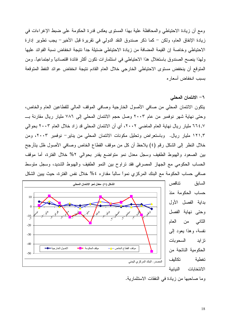ومع أن زيادة الاحتياطـي والمحافظة علية بـهذا المستوى يـعكس قدرة الـحكومة علـي ضبط الإغراءات فـي زيادة الإنفاق العام، ولكن – كما ذكر صندوق النقد الدولمي في تقريرة قبل الأخير – يجب تطوير إدارة الاحتياطي وخاصة إن القيمة المضافة من زيادة الاحتياطي ضئيلة جداً نتيجة انخفاض نسبة الفوائد عليها ولهذا بنصح الصندوق باستغلال هذا الاحتياطي في استثمارات نكون أكثر فائدة اقتصاديا واجتماعيا. ومن المتوقع أن ينخفض مستوى الاحتياطي الخارجي خلال العام القادم نتيجة انخفاض عوائد النفط المتوقعة بسبب انخفاض أسعار ه

٦– الائتمان المحلي

يتكون الائتمان المحلي من صافى الأصول الخارجية وصافى الموقف المالي للقطاعين العام والخاص، وحتى نهاية شهر نوفمبر من عام ٢٠٠٣ وصل حجم الائتمان المحلي إلى ٧٨٦ مليار ريال مقارنة بـــ ٢٦٤,٧ مليار ريال نهاية العام الماضيي ٢٠٠٢، أي أن الائتمان المحلي قد زاد خلال العام ٢٠٠٣ بحوالي ١٢١,٣ مليار ريال. وباستعراض وتحليل مكونات الائتمان المحلي من يناير – نوفمبر ٢٠٠٣، ومن خلال النظر إلى الشكل رقم (٤) يلاحظ أن كل من موقف القطاع الخاص وصافي الأصول ظل يتأرجح بين الصعود والهبوط الطفيف وسجل معدل نمو متواضع يقدر بحوالى ٢% خلال الفترة، أما موقف الحساب الحكومي مع الجهاز المصرفي فقد نراوح بين النمو الطفيف والهبوط الشديد، وسجل منوسط صـافـي حساب الحكومة مـع البنك المركزي نمواً سالباً مقدار ه ٤% خلال نفس الفترة، حيث يبين الشكل



تناقص السابق حساب الحكومة منذ بداية الفصل الأولى وحتى نهاية الفصل الثاني من العام نفسة، وهذا يعود إلى السحو بات تز اید الحكومية الناتجة من تكاليف تغطية الانتخابات النباببة وما صاحبها من زيادة في النفقات الاستثمارية.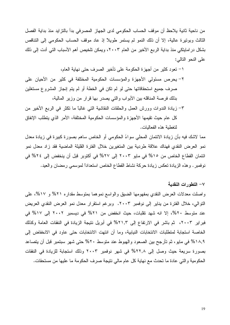من ناحية ثانية يلاحظ أن موقف الحساب الحكومي لدى الجهاز المصرفي بدأ بالنزايد منذ بداية الفصل الثالث وبونيرة عالية، إلا أن ذلك النمو لم يستمر طويلاً إذ عاد موقف الحساب الحكومي إلى النتاقص بشكل در امايتكي منذ بداية الربع الأخير من العام ٢٠٠٣، ويمكن تلخيص أهم الأسباب التي أدت إلى ذلك على النحو التالي:

١– نعود كثير من أجهزة الحكومة على نأخير الصرف حتى نهاية العام،

- ٢– يحرص مسئولي الأجهزة والمؤسسات الحكومية المختلفة في كثير من الأحيان على صرف جميع استحقاقاتها حتى لو لم تكن في الخطة أو لم يتم إنجاز المشروع مستغلين بذلك فرصة المناقله بين الأبواب والتي يصدر بها قرار من وزير المالية،
- ٣– زيادة الندوات وورش العمل والحلقات النقاشية التي غالبًا ما تكثر في الربع الأخير من كل عام حيث تقيمها الأجهزة والمؤسسات الحكومية المختلفة، الأمر الذي يتطلب الإنفاق لتغطية هذه الفعاليات.

مما لاشك فيه بأن زيادة الائتمان المحلي سواءً الحكومي أو الخاص ساهم بصورة كبيرة في زيادة معدل نمو العرض النقدي فهناك علاقة طردية بين المتغيرين خلال الفترة القليلة الماضية فقد زاد معدل نمو ائتمان القطاع الخاص من ١٥% في مايو ٢٠٠٣ إلى ٢٧% في أكتوبر قبل أن ينخفض إلى ٢٤% في نوفمبر . وهذه الزيادة تعكس زيادة حركة نشاط القطاع الخاص استعداداً لموسمي رمضان والعيد.

#### ٧ – التطور ات النقدبة

واصلت معدلات العرض النقدي بمفهومها الضبق والواسع نموهما بمنوسط مقداره ٢١% و ١٧%، على التوالي، خلال الفترة من يناير إلى نوفمبر ٢٠٠٣. وبرغم استقرار معدل نمو العرض النقدي العريض عند متوسط ٢٠%، إلا انه شهد تقلبات، حيث انخفض من ٢١% في ديسمبر ٢٠٠٢ إلى ١٧% في فبراير ٢٠٠٣، ثم باشر في الارتفاع إلى ٢١,٣% في أبريل نتيجة الزيادة في النفقات العامة وكذلك الخاصة استجابة لمنطلبات الانتخابات النيابية، وما أن انتهت الانتخابات حتى عاود في الانخفاض إلى ١٨,٩% في مايو ، ثم تأرجح بين الصعود والهبوط عند متوسط ٢٠% حتى شهر سبتمبر قبل أن يتصاعد بصورة سريعة حيث وصل إلى ٢٢,٨% في شهر نوفمبر ٢٠٠٣ وذلك استجابة للزيادة في النفقات الحكومية والتي عادة ما تحدث مع نهاية كل عام مالي نتيجة صرف الحكومة ما عليها من مستحقات.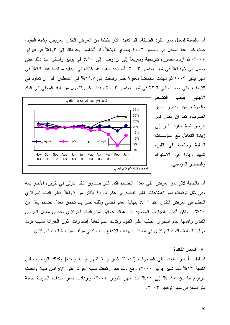أما بالنسبة لمعدل نمو النقود الضبقة، فقد كانت أكثر نذبذباً من العرض النقدي العريض وشبه النقود، حيث كان هذا المعدل في ديسمبر ٢٠٠٢ يساوي ٨,٤%، ثم أنخفض بعد ذلك إلى ٤,٣% في فبراير ٢٠٠٣، ثم أزداد بصورة تدريجية وسريعة إلى أن وصل إلى ٢٠% في يوليو وأستقر عند ذلك حتى وصل إلى 1,٨٪ % في شهر نوفمبر ٢٠٠٣. أما شبة النقود فقد كانت في البداية مرتفعة عند ٢٩% في شهر بناير ٢٠٠٣ ثم شهدت انخفاضاً معقوٍ لا حتى وصلت إلى ١٩٫٧% في أغسطس ٍ قبل أن تعاود في الارتفاع حتى وصلت إلى ٢٣,٦ في شهر نوفمبر ٢٠٠٣ وهذا يعكس التحول من النقد المحلي إلى النقد





أما بالنسبة لأثر نمو العرض على معدل النضخم فكما ذكر صندوق النقد الدولي في نقريره الأخير بأنه وفي ظل توقعات نمو القطاعات الغير نفطية في عام ٢٠٠٤ بأكثر من ٤,٥% فعلى البنك المركزي التحكم في العرض النقدي عند ٥١١٪ بنهاية العام الحالي وذلك حتى يتم تحقيق معدل تضخم بأقل من ١٠%. ولكن أثبتت النجارب الماضية بأن هناك عوائق أمام البنك المركزي لخفض معدل العرض النقدي وأهمها عدم استقرار الطلب على النقود وكذلك عدم كفاية إصدارات أذون الخزانة بسبب نردد وزارة المالية والبنك المركزي في إصدار شهادات الإيداع بسبب ندني موقف ميزانية البنك المركزي.

٨– أسعار الفائدة احتفظت أسعار الفائدة على المدخرات (لمدة ٣ اشهر و ٦ اشهر وسنة واحدة) وكذلك الودائع، بنفس النسبة ١٣% منذ شهر يوليو ٢٠٠٠، ومع ذلك فقد ارتفعت نسبة الفوائد على الإقراض قليلا وأخذت تتراوح ما بين ١٥ % إلى ٢١% منذ شهر أكتوبر ٢٠٠٢، وازدادت سعر سندات الخزينة بنسبة متواضعة في شهر نوفمبر ٢٠٠٣.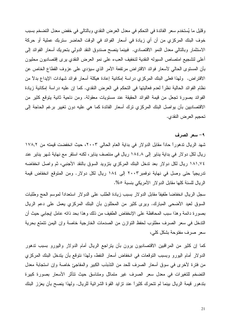وقليل ما يُستخدم سعر الفائدة في التحكم في معدل العرض النقدي وبالتالي في خفض معدل التضخم بسبب خوف البنك المركزي من أن أي زيادة في أسعار الفوائد في الوقت الحاضر ستربك عملية أو حركة الاستثمار وبالتالي معدل النمو الاقتصادي. فبينما ينصح صندوق النقد الدولي بتحريك أسعار الفوائد إلى أعلى لتشجيع امتصاص السبوله النقدية لتخفيف العبء على نمو العرض النقدي برى إقتصاديون محليون بأن المستوى الحالي لأسعار فوائد الاقتراض مرتفعة الأمر الذي سيؤدي على عزوف القطاع الخاص عن الاقتراض. ولهذا فعلى البنك المركزي در اسة إمكانية إعادة هيكلة أسعار فوائد شهادات الإيداع بدلاً من نظام الفوائد الحالية نظراً لعدم فعاليتها في التحكم في العرض النقدي. كما إن عليه دراسة إمكانية زيادة الفوائد بصورة تجعل من قيمة الفوائد الحقيقة عند مستويات معقولة. ومن ناحية ثانية يتوقع كثير من الاقتصاديين بأن يواصل البنك المركزي نرك أسعار الفائدة كما هي عليه دون نغيير برغم الحاجة إلى تحجيم العرض النقدي.

#### ٩- سعر الصرف

شهد الريال ندهوراً حاداً مقابل الدولار في بداية العام الحالي ٢٠٠٣، حيث انخفضت قيمته من ١٧٨,٢ ريال لكل دو لار في بداية يناير إلى ١٨٤,٨ ريال في منتصف يناير ، لكنه استقر مع نهاية شهر يناير عند ١٨١,٧٤ ريال لكل دولار بعد ندخل البنك المركزي بنزويد السوق بالنقد الأجنبي، ثم واصل انخفاضه تدريجياً حتى وصل في نهاية نوفمبر ٢٠٠٣ إلى ١٨٤ ريال لكل دولار. ومن المتوقع انخفاض قيمة الريال للسنة كلها مقابل الدولار الأمريكي بنسبة ٥%.

سجل الريال انخفاضا طفيفا مقابل الدولار بسبب زيادة الطلب على الدولار استعدادا لموسم الحج وطلبات السوق لعيد الأضحى المبارك. ويرى كثير من المحللون بأن البنك المركزي يعمل على دعم الريال بصورة دائمة وهذا سبب المحافظة على الإنخفاض الطفيف من ذلك وهذا بحد ذاته عامل إيجابي حيث أن التدخل في سعر الصرف مطلوب لحفظ التوازن من الصدمات الخارجية خاصة وإن اليمن تتمتع بحرية سعر صرف مفتوحة بشكل كلي،

كما إن كثير من المراقبين الاقتصاديون يرون بأن يتراجع الريال أمام الدولار واليورو بسبب ندهور الدولار أمام اليورو وبسبب التوقعات في انخفاض أسعار النفط، ولهذا نتوقع بأن يتدخل البنك المركزي من فترة لأخرى في سوق أسعار الصرف للحد من النذبذب الكبير والمفاجئ خاصة وإن استجابة معدل التضخم للتغيرات في معدل سعر الصرف غير متماثل ومتناسق حيث نتأثر الأسعار بصورة كبيرة بتدهور قيمة الريال بينما لم تتحرك كثيراً عند نزايد القوة الشرائية للريال. ولـهذا ينصـح بأن يعزز البنك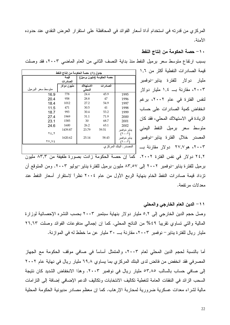المركزي من قدرته في استخدام أداة أسعار الفوائد في المحافظة على استقرار العرض النقدي عند حدوده الأمنة.

### ١٠ – حصة الحكومة من إنتاج النفط

بسبب ارتفاع متوسط سعر برميل النفط منذ بداية النصف الثاني من العام الماضي ٢٠٠٣، فقد وصلت

| قيمة الصـادرات النفطية أكثر من ١,٦                                                                                                                                                                                                |
|-----------------------------------------------------------------------------------------------------------------------------------------------------------------------------------------------------------------------------------|
| مليار دولار للفترة يناير <sup>_</sup> نوفمبر                                                                                                                                                                                      |
| ۲۰۰۳، مقارنة بـــ ۱٫٤ مليار دولار                                                                                                                                                                                                 |
| .<br>لنفس الفترة في عام ٢ <b>٠٠</b> ٢، برغم                                                                                                                                                                                       |
| انخفاض كمية الصادرات على حساب                                                                                                                                                                                                     |
| الزيادة في الاستهلاك المحلي، فقد كان                                                                                                                                                                                              |
| متوسط سعر برميل النفط اليمني                                                                                                                                                                                                      |
| المصدر خلال الفترة يناير-نوفمبر                                                                                                                                                                                                   |
| ۲۰۰۳، هو۲۰٫۷   دولار  مقارنة بـــ                                                                                                                                                                                                 |
| $\mathbf{r}$ , and the contribution of the contribution of the contribution of the contribution of the contribution of the contribution of the contribution of the contribution of the contribution of the contribution of the co |

| حصة الحكومة من إنتاج النفط<br>جدول (۸)<br>حصة الحكومة (مليون برميل) |             |           |           |                                      |  |  |
|---------------------------------------------------------------------|-------------|-----------|-----------|--------------------------------------|--|--|
|                                                                     |             |           |           |                                      |  |  |
|                                                                     | الصادرات    |           |           |                                      |  |  |
|                                                                     | مليون دولار | الاستهلاك | الصادر ات |                                      |  |  |
| منوسط سعر البرميل                                                   |             | المحلى    |           |                                      |  |  |
| 16.9                                                                | 778         | 24.4      | 45.9      | 1995                                 |  |  |
| 20.4                                                                | 958         | 28.8      | 47        | 1996                                 |  |  |
| 18.4                                                                | 1012        | 27.2      | 54.9      | 1997                                 |  |  |
| 11.5                                                                | 471         | 30.5      | 41        | 1998                                 |  |  |
| 18.7                                                                | 993         | 30.4      | 53.2      | 1999                                 |  |  |
| 27.4                                                                | 1969        | 31.1      | 71.9      | 2000                                 |  |  |
| 23.1                                                                | 1585        | 30        | 68.7      | 2001                                 |  |  |
| 24.6                                                                | 1600        | 26.2      | 65.1      | 2002                                 |  |  |
|                                                                     | 1439.87     | 23.79     | 59.51     | يناير خو فمير                        |  |  |
| ۲٤.۲                                                                |             |           |           | $(1 \cdot \cdot 1)$                  |  |  |
| 27.74                                                               | 1620.62     | 25.14     | 58.43     | يناير خو فمير<br>$(7 \cdot \cdot 7)$ |  |  |
|                                                                     |             |           |           | المصدر : البنك المركز ي              |  |  |

٢٤,٢ دولار في نفس الفترة ٢٠٠٢. كما إن حصة الحكومة زادت بصورة طفيفة من ٨٣,٣ مليون برميل للفترة يناير –نوفمبر ٢٠٠٢ إلى ٨٣,٥٧ مليون برميل للفترة يناير –يوليو ٢٠٠٣. ومن المتوقع أن تزداد قيمة صادرات النفط الخام بنهاية الربع الأول من عام ٢٠٠٤ نظراً لاستقرار أسعار النفط عند معدلات مرتفعة.

1 ١ – الدين العام الخارجي والمحلي وصل حجم الدين الخارجي إلى ٥٫٢ مليار دولار بنهاية سبتمبر ٢٠٠٣ بحسب النشره الإحصائية لوزارة المالية والتي نساوي نقريبًا ٤٩% من الناتج المحلي. كما إن إجمالي مدفوعات الفوائد وصلت ٢٦,٦٣ مليار ريال للفترة يناير – نوفمبر ٢٠٠٣، مقارنة بــــ ٣٠ مليار عن ما خطط له في الموازنة.

أما بالنسبة لحجم الدين المحلي لعام ٢٠٠٣، والمنمثل أساساً في صافي موقف الحكومة مع الجهاز المصرفي فقد انخفض من فائض لدى البنك المركزي بما يساوي ٦٩٫٨ مليار ريال في نهاية عام ٢٠٠٢ إلى صافى حساب بالسالب 0۳٫۸٥ مليار ريال في نوفمبر ٢٠٠٣. وهذا الانخفاض الشديد كان نتيجة السحب الزائد في النفقات العامة لتغطية تكاليف الانتخابات وتكاليف الدعم الإضافي إضافة إلى التزامات مالية لشراء معدات عسكرية ضرورية لمحاربة الإرهاب. كما إن معظم مصادر مديونية الحكومة المحلية